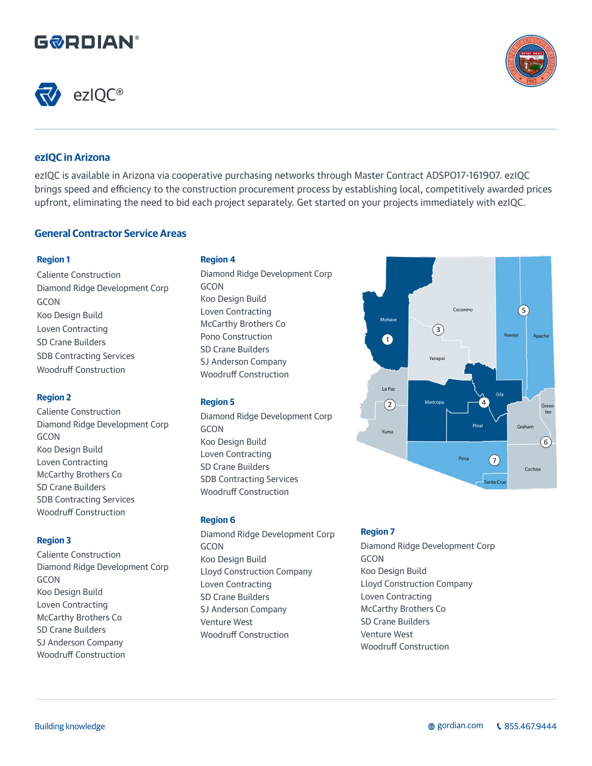# **G&RDIAN®**





 $\sqrt{5}$ 

Graham

Cochise

Apache

Greer

 $\left( 6\right)$ 

Navaio

Gila  $\overline{4}$ 

 $(7)$ 

ianta Crui

Pinal

Pima

Coconino

 $\binom{3}{}$ 

Yavapai

Maricopa

# **ezIQC in Arizona**

ezIQC is available in Arizona via cooperative purchasing networks through Master Contract ADSPO17-161907. ezIQC brings speed and efficiency to the construction procurement process by establishing local, competitively awarded prices upfront, eliminating the need to bid each project separately. Get started on your projects immediately with ezIQC.

# **General Contractor Service Areas**

# **Region 1**

Caliente Construction Diamond Ridge Development Corp GCON Koo Design Build Loven Contracting SD Crane Builders SDB Contracting Services Woodruff Construction

# **Region 2**

Caliente Construction Diamond Ridge Development Corp GCON Koo Design Build Loven Contracting McCarthy Brothers Co SD Crane Builders SDB Contracting Services Woodruff Construction

# **Region 3**

Caliente Construction Diamond Ridge Development Corp GCON Koo Design Build Loven Contracting McCarthy Brothers Co SD Crane Builders SJ Anderson Company Woodruff Construction

# **Region 4**

Diamond Ridge Development Corp **GCON** Koo Design Build Loven Contracting McCarthy Brothers Co Pono Construction SD Crane Builders SJ Anderson Company Woodruff Construction

# **Region 5**

Diamond Ridge Development Corp **GCON** Koo Design Build Loven Contracting SD Crane Builders SDB Contracting Services Woodruff Construction

# **Region 6**

Diamond Ridge Development Corp **GCON** Koo Design Build Lloyd Construction Company Loven Contracting SD Crane Builders SJ Anderson Company Venture West Woodruff Construction

# **Region 7**

Mohav

 $\bigcap$ 

La Paz

 $(2)$ 

Yuma

Diamond Ridge Development Corp GCON Koo Design Build Lloyd Construction Company Loven Contracting McCarthy Brothers Co SD Crane Builders Venture West Woodruff Construction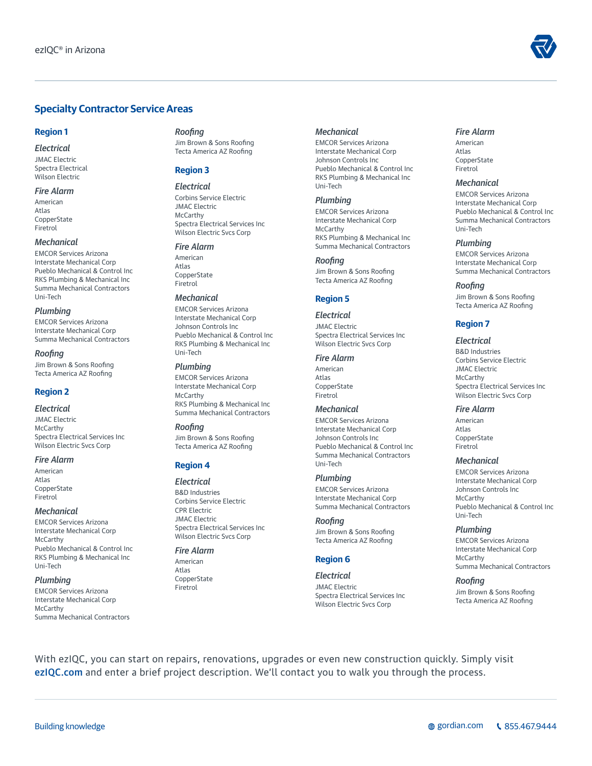# **Specialty Contractor Service Areas**

## **Region 1**

*Electrical* JMAC Electric Spectra Electrical Wilson Electric

#### *Fire Alarm*

American Atlas **CopperState** Firetrol

#### *Mechanical*

EMCOR Services Arizona Interstate Mechanical Corp Pueblo Mechanical & Control Inc RKS Plumbing & Mechanical Inc Summa Mechanical Contractors Uni-Tech

#### *Plumbing*

EMCOR Services Arizona Interstate Mechanical Corp Summa Mechanical Contractors

#### *Roofing*

Jim Brown & Sons Roofing Tecta America AZ Roofing

# **Region 2**

#### *Electrical*

JMAC Electric **McCarthy** Spectra Electrical Services Inc Wilson Electric Svcs Corp

#### *Fire Alarm*

American Atlas **CopperState** Firetrol

#### *Mechanical*

EMCOR Services Arizona Interstate Mechanical Corp **McCarthy** Pueblo Mechanical & Control Inc RKS Plumbing & Mechanical Inc Uni-Tech

## *Plumbing*

EMCOR Services Arizona Interstate Mechanical Corp McCarthy Summa Mechanical Contractors

## *Roofing*

Jim Brown & Sons Roofing Tecta America AZ Roofing

# **Region 3**

*Electrical* Corbins Service Electric JMAC Electric McCarthy Spectra Electrical Services Inc Wilson Electric Svcs Corp

#### *Fire Alarm*

American Atlas **CopperState** Firetrol

#### *Mechanical*

EMCOR Services Arizona Interstate Mechanical Corp Johnson Controls Inc Pueblo Mechanical & Control Inc RKS Plumbing & Mechanical Inc Uni-Tech

#### *Plumbing*

EMCOR Services Arizona Interstate Mechanical Corp McCarthy RKS Plumbing & Mechanical Inc Summa Mechanical Contractors

*Roofing* Jim Brown & Sons Roofing Tecta America AZ Roofing

## **Region 4**

#### *Electrical*

B&D Industries Corbins Service Electric CPR Electric JMAC Electric Spectra Electrical Services Inc Wilson Electric Svcs Corp

## *Fire Alarm*

American Atlas **CopperState** Firetrol

## *Mechanical*

EMCOR Services Arizona Interstate Mechanical Corp Johnson Controls Inc Pueblo Mechanical & Control Inc RKS Plumbing & Mechanical Inc Uni-Tech

## *Plumbing*

EMCOR Services Arizona Interstate Mechanical Corp McCarthy RKS Plumbing & Mechanical Inc Summa Mechanical Contractors

*Roofing* Jim Brown & Sons Roofing Tecta America AZ Roofing

# **Region 5**

*Electrical* JMAC Electric Spectra Electrical Services Inc Wilson Electric Svcs Corp

#### *Fire Alarm*

American Atlas **CopperState** Firetrol

## *Mechanical*

EMCOR Services Arizona Interstate Mechanical Corp Johnson Controls Inc Pueblo Mechanical & Control Inc Summa Mechanical Contractors Uni-Tech

## *Plumbing*

EMCOR Services Arizona Interstate Mechanical Corp Summa Mechanical Contractors

# *Roofing*

Jim Brown & Sons Roofing Tecta America AZ Roofing

# **Region 6**

*Electrical* JMAC Electric Spectra Electrical Services Inc Wilson Electric Svcs Corp

# *Fire Alarm*

American Atlas **CopperState** Firetrol

## *Mechanical*

EMCOR Services Arizona Interstate Mechanical Corp Pueblo Mechanical & Control Inc Summa Mechanical Contractors Uni-Tech

## *Plumbing*

EMCOR Services Arizona Interstate Mechanical Corp Summa Mechanical Contractors

## *Roofing*

Jim Brown & Sons Roofing Tecta America AZ Roofing

# **Region 7**

#### *Electrical*

B&D Industries Corbins Service Electric JMAC Electric **McCarthy** Spectra Electrical Services Inc Wilson Electric Svcs Corp

## *Fire Alarm*

American Atlas **CopperState** Firetrol

#### *Mechanical*

EMCOR Services Arizona Interstate Mechanical Corp Johnson Controls Inc **McCarthy** Pueblo Mechanical & Control Inc Uni-Tech

## *Plumbing*

EMCOR Services Arizona Interstate Mechanical Corp **McCarthy** Summa Mechanical Contractors

## *Roofing*

Jim Brown & Sons Roofing Tecta America AZ Roofing

With ezIQC, you can start on repairs, renovations, upgrades or even new construction quickly. Simply visit ezIQC.com and enter a brief project description. We'll contact you to walk you through the process.